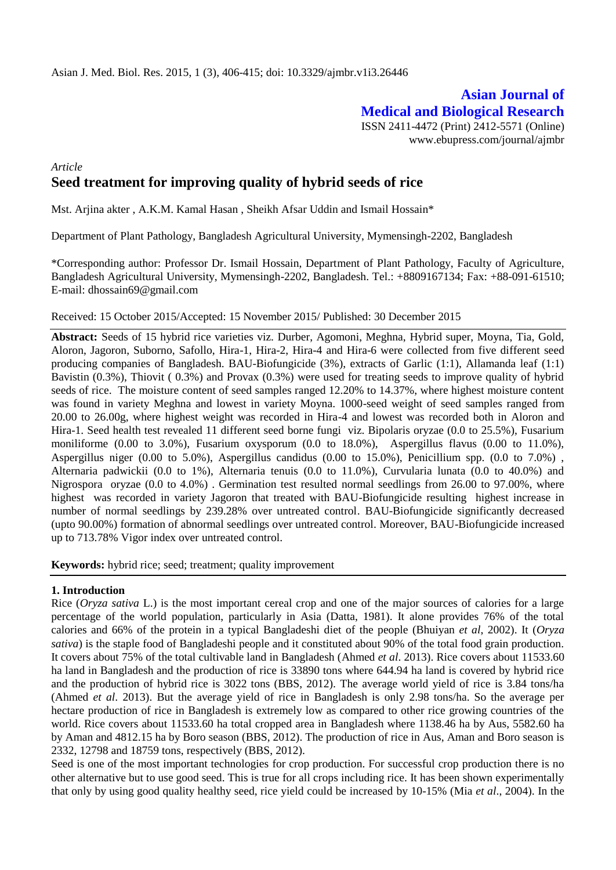# **Asian Journal of Medical and Biological Research**

ISSN 2411-4472 (Print) 2412-5571 (Online) www.ebupress.com/journal/ajmbr

## *Article* **Seed treatment for improving quality of hybrid seeds of rice**

Mst. Arjina akter , A.K.M. Kamal Hasan , Sheikh Afsar Uddin and Ismail Hossain\*

Department of Plant Pathology, Bangladesh Agricultural University, Mymensingh-2202, Bangladesh

\*Corresponding author: Professor Dr. Ismail Hossain, Department of Plant Pathology, Faculty of Agriculture, Bangladesh Agricultural University, Mymensingh-2202, Bangladesh. Tel.: +8809167134; Fax: +88-091-61510; E-mail: [dhossain69@gmail.com](mailto:dhossain69@gmail.com)

#### Received: 15 October 2015/Accepted: 15 November 2015/ Published: 30 December 2015

**Abstract:** Seeds of 15 hybrid rice varieties viz. Durber, Agomoni, Meghna, Hybrid super, Moyna, Tia, Gold, Aloron, Jagoron, Suborno, Safollo, Hira-1, Hira-2, Hira-4 and Hira-6 were collected from five different seed producing companies of Bangladesh. BAU-Biofungicide (3%), extracts of Garlic (1:1), Allamanda leaf (1:1) Bavistin (0.3%), Thiovit ( 0.3%) and Provax (0.3%) were used for treating seeds to improve quality of hybrid seeds of rice. The moisture content of seed samples ranged 12.20% to 14.37%, where highest moisture content was found in variety Meghna and lowest in variety Moyna. 1000-seed weight of seed samples ranged from 20.00 to 26.00g, where highest weight was recorded in Hira-4 and lowest was recorded both in Aloron and Hira-1. Seed health test revealed 11 different seed borne fungi viz. Bipolaris oryzae (0.0 to 25.5%), Fusarium moniliforme (0.00 to 3.0%), Fusarium oxysporum (0.0 to 18.0%), Aspergillus flavus (0.00 to 11.0%), Aspergillus niger (0.00 to 5.0%), Aspergillus candidus (0.00 to 15.0%), Penicillium spp. (0.0 to 7.0%) , Alternaria padwickii (0.0 to 1%), Alternaria tenuis (0.0 to 11.0%), Curvularia lunata (0.0 to 40.0%) and Nigrospora oryzae (0.0 to 4.0%) . Germination test resulted normal seedlings from 26.00 to 97.00%, where highest was recorded in variety Jagoron that treated with BAU-Biofungicide resulting highest increase in number of normal seedlings by 239.28% over untreated control. BAU-Biofungicide significantly decreased (upto 90.00%) formation of abnormal seedlings over untreated control. Moreover, BAU-Biofungicide increased up to 713.78% Vigor index over untreated control.

**Keywords:** hybrid rice; seed; treatment; quality improvement

### **1. Introduction**

Rice (*Oryza sativa* L.) is the most important cereal crop and one of the major sources of calories for a large percentage of the world population, particularly in Asia (Datta, 1981). It alone provides 76% of the total calories and 66% of the protein in a typical Bangladeshi diet of the people (Bhuiyan *et al*, 2002). It (*Oryza sativa*) is the staple food of Bangladeshi people and it constituted about 90% of the total food grain production. It covers about 75% of the total cultivable land in Bangladesh (Ahmed *et al*. 2013). Rice covers about 11533.60 ha land in Bangladesh and the production of rice is 33890 tons where 644.94 ha land is covered by hybrid rice and the production of hybrid rice is 3022 tons (BBS, 2012). The average world yield of rice is 3.84 tons/ha (Ahmed *et al*. 2013). But the average yield of rice in Bangladesh is only 2.98 tons/ha. So the average per hectare production of rice in Bangladesh is extremely low as compared to other rice growing countries of the world. Rice covers about 11533.60 ha total cropped area in Bangladesh where 1138.46 ha by Aus, 5582.60 ha by Aman and 4812.15 ha by Boro season (BBS, 2012). The production of rice in Aus, Aman and Boro season is 2332, 12798 and 18759 tons, respectively (BBS, 2012).

Seed is one of the most important technologies for crop production. For successful crop production there is no other alternative but to use good seed. This is true for all crops including rice. It has been shown experimentally that only by using good quality healthy seed, rice yield could be increased by 10-15% (Mia *et al*., 2004). In the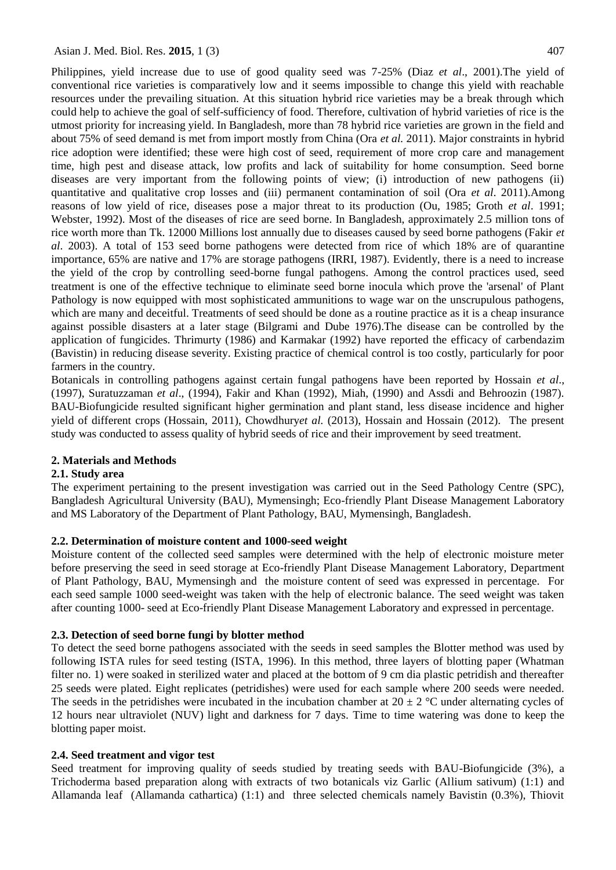Philippines, yield increase due to use of good quality seed was 7-25% (Diaz *et al*., 2001).The yield of conventional rice varieties is comparatively low and it seems impossible to change this yield with reachable resources under the prevailing situation. At this situation hybrid rice varieties may be a break through which could help to achieve the goal of self-sufficiency of food. Therefore, cultivation of hybrid varieties of rice is the utmost priority for increasing yield. In Bangladesh, more than 78 hybrid rice varieties are grown in the field and about 75% of seed demand is met from import mostly from China (Ora *et al.* 2011). Major constraints in hybrid rice adoption were identified; these were high cost of seed, requirement of more crop care and management time, high pest and disease attack, low profits and lack of suitability for home consumption. Seed borne diseases are very important from the following points of view; (i) introduction of new pathogens (ii) quantitative and qualitative crop losses and (iii) permanent contamination of soil (Ora *et al*. 2011).Among reasons of low yield of rice, diseases pose a major threat to its production (Ou, 1985; Groth *et al*. 1991; Webster, 1992). Most of the diseases of rice are seed borne. In Bangladesh, approximately 2.5 million tons of rice worth more than Tk. 12000 Millions lost annually due to diseases caused by seed borne pathogens (Fakir *et al*. 2003). A total of 153 seed borne pathogens were detected from rice of which 18% are of quarantine importance, 65% are native and 17% are storage pathogens (IRRI, 1987). Evidently, there is a need to increase the yield of the crop by controlling seed-borne fungal pathogens. Among the control practices used, seed treatment is one of the effective technique to eliminate seed borne inocula which prove the 'arsenal' of Plant Pathology is now equipped with most sophisticated ammunitions to wage war on the unscrupulous pathogens, which are many and deceitful. Treatments of seed should be done as a routine practice as it is a cheap insurance against possible disasters at a later stage (Bilgrami and Dube 1976).The disease can be controlled by the application of fungicides. Thrimurty (1986) and Karmakar (1992) have reported the efficacy of carbendazim (Bavistin) in reducing disease severity. Existing practice of chemical control is too costly, particularly for poor farmers in the country.

Botanicals in controlling pathogens against certain fungal pathogens have been reported by Hossain *et al*., (1997), Suratuzzaman *et al*., (1994), Fakir and Khan (1992), Miah, (1990) and Assdi and Behroozin (1987). BAU-Biofungicide resulted significant higher germination and plant stand, less disease incidence and higher yield of different crops (Hossain, 2011), Chowdhury*et al.* (2013), Hossain and Hossain (2012). The present study was conducted to assess quality of hybrid seeds of rice and their improvement by seed treatment.

#### **2. Materials and Methods**

#### **2.1. Study area**

The experiment pertaining to the present investigation was carried out in the Seed Pathology Centre (SPC), Bangladesh Agricultural University (BAU), Mymensingh; Eco-friendly Plant Disease Management Laboratory and MS Laboratory of the Department of Plant Pathology, BAU, Mymensingh, Bangladesh.

#### **2.2. Determination of moisture content and 1000-seed weight**

Moisture content of the collected seed samples were determined with the help of electronic moisture meter before preserving the seed in seed storage at Eco-friendly Plant Disease Management Laboratory, Department of Plant Pathology, BAU, Mymensingh and the moisture content of seed was expressed in percentage. For each seed sample 1000 seed-weight was taken with the help of electronic balance. The seed weight was taken after counting 1000- seed at Eco-friendly Plant Disease Management Laboratory and expressed in percentage.

#### **2.3. Detection of seed borne fungi by blotter method**

To detect the seed borne pathogens associated with the seeds in seed samples the Blotter method was used by following ISTA rules for seed testing (ISTA, 1996). In this method, three layers of blotting paper (Whatman filter no. 1) were soaked in sterilized water and placed at the bottom of 9 cm dia plastic petridish and thereafter 25 seeds were plated. Eight replicates (petridishes) were used for each sample where 200 seeds were needed. The seeds in the petridishes were incubated in the incubation chamber at  $20 \pm 2$  °C under alternating cycles of 12 hours near ultraviolet (NUV) light and darkness for 7 days. Time to time watering was done to keep the blotting paper moist.

#### **2.4. Seed treatment and vigor test**

Seed treatment for improving quality of seeds studied by treating seeds with BAU-Biofungicide (3%), a Trichoderma based preparation along with extracts of two botanicals viz Garlic (Allium sativum) (1:1) and Allamanda leaf (Allamanda cathartica) (1:1) and three selected chemicals namely Bavistin (0.3%), Thiovit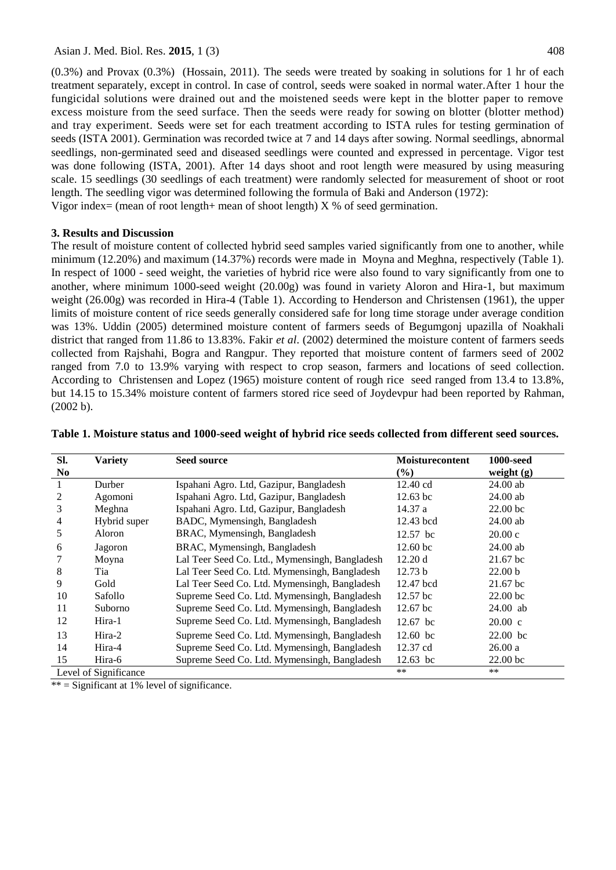Asian J. Med. Biol. Res. **2015**, 1 (3) 408

(0.3%) and Provax (0.3%) (Hossain, 2011). The seeds were treated by soaking in solutions for 1 hr of each treatment separately, except in control. In case of control, seeds were soaked in normal water.After 1 hour the fungicidal solutions were drained out and the moistened seeds were kept in the blotter paper to remove excess moisture from the seed surface. Then the seeds were ready for sowing on blotter (blotter method) and tray experiment. Seeds were set for each treatment according to ISTA rules for testing germination of seeds (ISTA 2001). Germination was recorded twice at 7 and 14 days after sowing. Normal seedlings, abnormal seedlings, non-germinated seed and diseased seedlings were counted and expressed in percentage. Vigor test was done following (ISTA, 2001). After 14 days shoot and root length were measured by using measuring scale. 15 seedlings (30 seedlings of each treatment) were randomly selected for measurement of shoot or root length. The seedling vigor was determined following the formula of Baki and Anderson (1972): Vigor index= (mean of root length+ mean of shoot length)  $X$  % of seed germination.

#### **3. Results and Discussion**

The result of moisture content of collected hybrid seed samples varied significantly from one to another, while minimum (12.20%) and maximum (14.37%) records were made in Moyna and Meghna, respectively (Table 1). In respect of 1000 - seed weight, the varieties of hybrid rice were also found to vary significantly from one to another, where minimum 1000-seed weight (20.00g) was found in variety Aloron and Hira-1, but maximum weight (26.00g) was recorded in Hira-4 (Table 1). According to Henderson and Christensen (1961), the upper limits of moisture content of rice seeds generally considered safe for long time storage under average condition was 13%. Uddin (2005) determined moisture content of farmers seeds of Begumgonj upazilla of Noakhali district that ranged from 11.86 to 13.83%. Fakir *et al*. (2002) determined the moisture content of farmers seeds collected from Rajshahi, Bogra and Rangpur. They reported that moisture content of farmers seed of 2002 ranged from 7.0 to 13.9% varying with respect to crop season, farmers and locations of seed collection. According to Christensen and Lopez (1965) moisture content of rough rice seed ranged from 13.4 to 13.8%, but 14.15 to 15.34% moisture content of farmers stored rice seed of Joydevpur had been reported by Rahman, (2002 b).

| SI.            | <b>Variety</b>        | Seed source                                    | <b>Moisturecontent</b> | <b>1000-seed</b>    |
|----------------|-----------------------|------------------------------------------------|------------------------|---------------------|
| N <sub>0</sub> |                       |                                                | $(\%)$                 | weight $(g)$        |
|                | Durber                | Ispahani Agro. Ltd, Gazipur, Bangladesh        | 12.40 cd               | $24.00$ ab          |
| 2              | Agomoni               | Ispahani Agro. Ltd, Gazipur, Bangladesh        | $12.63$ bc             | $24.00$ ab          |
| 3              | Meghna                | Ispahani Agro. Ltd, Gazipur, Bangladesh        | 14.37 a                | 22.00 <sub>bc</sub> |
| 4              | Hybrid super          | BADC, Mymensingh, Bangladesh                   | 12.43 bcd              | $24.00$ ab          |
| 5              | Aloron                | BRAC, Mymensingh, Bangladesh                   | 12.57 bc               | 20.00c              |
| 6              | Jagoron               | BRAC, Mymensingh, Bangladesh                   | 12.60 bc               | 24.00 ab            |
|                | Moyna                 | Lal Teer Seed Co. Ltd., Mymensingh, Bangladesh | 12.20 d                | $21.67$ bc          |
| 8              | Tia                   | Lal Teer Seed Co. Ltd. Mymensingh, Bangladesh  | 12.73 b                | 22.00 <sub>b</sub>  |
| 9              | Gold                  | Lal Teer Seed Co. Ltd. Mymensingh, Bangladesh  | 12.47 bcd              | $21.67$ bc          |
| 10             | Safollo               | Supreme Seed Co. Ltd. Mymensingh, Bangladesh   | 12.57 bc               | $22.00$ bc          |
| 11             | Suborno               | Supreme Seed Co. Ltd. Mymensingh, Bangladesh   | $12.67$ bc             | 24.00 ab            |
| 12             | Hira-1                | Supreme Seed Co. Ltd. Mymensingh, Bangladesh   | 12.67 bc               | $20.00 \text{ c}$   |
| 13             | Hira-2                | Supreme Seed Co. Ltd. Mymensingh, Bangladesh   | $12.60$ bc             | $22.00$ bc          |
| 14             | Hira-4                | Supreme Seed Co. Ltd. Mymensingh, Bangladesh   | 12.37 cd               | 26.00a              |
| 15             | Hira-6                | Supreme Seed Co. Ltd. Mymensingh, Bangladesh   | $12.63$ bc             | $22.00$ bc          |
|                | Level of Significance |                                                | $***$                  | $**$                |

| Table 1. Moisture status and 1000-seed weight of hybrid rice seeds collected from different seed sources. |  |  |  |
|-----------------------------------------------------------------------------------------------------------|--|--|--|
|-----------------------------------------------------------------------------------------------------------|--|--|--|

 $**$  = Significant at 1% level of significance.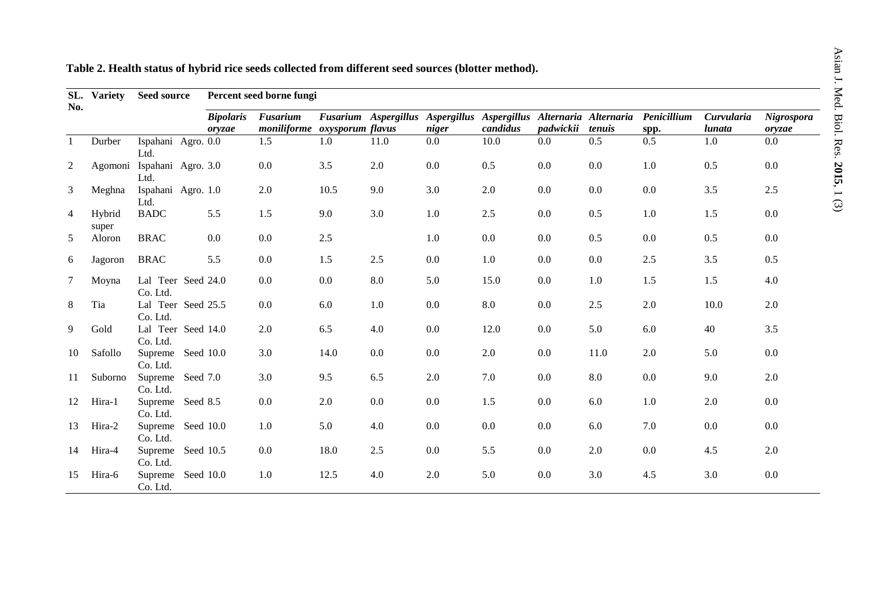| SL.<br>No.     | <b>Variety</b>  | <b>Seed source</b>                 |                  | Percent seed borne fungi     |         |                      |         |                                               |           |         |             |            |            |
|----------------|-----------------|------------------------------------|------------------|------------------------------|---------|----------------------|---------|-----------------------------------------------|-----------|---------|-------------|------------|------------|
|                |                 |                                    | <b>Bipolaris</b> | Fusarium                     |         | Fusarium Aspergillus |         | Aspergillus Aspergillus Alternaria Alternaria |           |         | Penicillium | Curvularia | Nigrospora |
|                |                 |                                    | oryzae           | moniliforme oxysporum flavus |         |                      | niger   | candidus                                      | padwickii | tenuis  | spp.        | lunata     | oryzae     |
| $\mathbf{1}$   | Durber          | Ispahani Agro. 0.0<br>Ltd.         |                  | 1.5                          | $1.0\,$ | 11.0                 | $0.0\,$ | 10.0                                          | $0.0\,$   | 0.5     | 0.5         | 1.0        | $0.0\,$    |
| $\overline{c}$ |                 | Agomoni Ispahani Agro. 3.0<br>Ltd. |                  | 0.0                          | 3.5     | 2.0                  | 0.0     | 0.5                                           | 0.0       | 0.0     | $1.0\,$     | 0.5        | $0.0\,$    |
| 3              | Meghna          | Ispahani Agro. 1.0<br>Ltd.         |                  | 2.0                          | 10.5    | 9.0                  | 3.0     | 2.0                                           | 0.0       | 0.0     | $0.0\,$     | $3.5$      | 2.5        |
| 4              | Hybrid<br>super | <b>BADC</b>                        | 5.5              | 1.5                          | 9.0     | 3.0                  | $1.0\,$ | $2.5\,$                                       | 0.0       | 0.5     | $1.0\,$     | 1.5        | $0.0\,$    |
| 5              | Aloron          | <b>BRAC</b>                        | 0.0              | 0.0                          | 2.5     |                      | 1.0     | $0.0\,$                                       | 0.0       | 0.5     | 0.0         | 0.5        | 0.0        |
| 6              | Jagoron         | <b>BRAC</b>                        | 5.5              | 0.0                          | 1.5     | 2.5                  | 0.0     | 1.0                                           | 0.0       | $0.0\,$ | 2.5         | 3.5        | 0.5        |
| 7              | Moyna           | Lal Teer Seed 24.0<br>Co. Ltd.     |                  | $0.0\,$                      | 0.0     | 8.0                  | 5.0     | 15.0                                          | $0.0\,$   | 1.0     | 1.5         | 1.5        | 4.0        |
| 8              | Tia             | Lal Teer Seed 25.5<br>Co. Ltd.     |                  | 0.0                          | 6.0     | $1.0\,$              | 0.0     | 8.0                                           | 0.0       | 2.5     | 2.0         | 10.0       | 2.0        |
| 9              | Gold            | Lal Teer Seed 14.0<br>Co. Ltd.     |                  | 2.0                          | 6.5     | 4.0                  | 0.0     | 12.0                                          | 0.0       | 5.0     | $6.0\,$     | 40         | 3.5        |
| 10             | Safollo         | Supreme<br>Co. Ltd.                | Seed 10.0        | 3.0                          | 14.0    | $0.0\,$              | 0.0     | 2.0                                           | 0.0       | 11.0    | $2.0\,$     | 5.0        | 0.0        |
| 11             | Suborno         | Supreme<br>Seed 7.0<br>Co. Ltd.    |                  | 3.0                          | 9.5     | 6.5                  | 2.0     | 7.0                                           | $0.0\,$   | 8.0     | $0.0\,$     | 9.0        | 2.0        |
| 12             | Hira-1          | Supreme<br>Seed 8.5<br>Co. Ltd.    |                  | 0.0                          | 2.0     | 0.0                  | 0.0     | 1.5                                           | 0.0       | 6.0     | $1.0\,$     | $2.0\,$    | $0.0\,$    |
| 13             | Hira-2          | Supreme<br>Co. Ltd.                | Seed 10.0        | $1.0\,$                      | 5.0     | 4.0                  | 0.0     | $0.0\,$                                       | 0.0       | 6.0     | 7.0         | 0.0        | $0.0\,$    |
| 14             | Hira-4          | Supreme<br>Co. Ltd.                | Seed 10.5        | $0.0\,$                      | 18.0    | 2.5                  | 0.0     | 5.5                                           | 0.0       | 2.0     | $0.0\,$     | 4.5        | 2.0        |
| 15             | Hira-6          | Supreme<br>Co. Ltd.                | Seed 10.0        | 1.0                          | 12.5    | 4.0                  | $2.0\,$ | 5.0                                           | 0.0       | 3.0     | $4.5$       | $3.0\,$    | 0.0        |

**Table 2. Health status of hybrid rice seeds collected from different seed sources (blotter method).**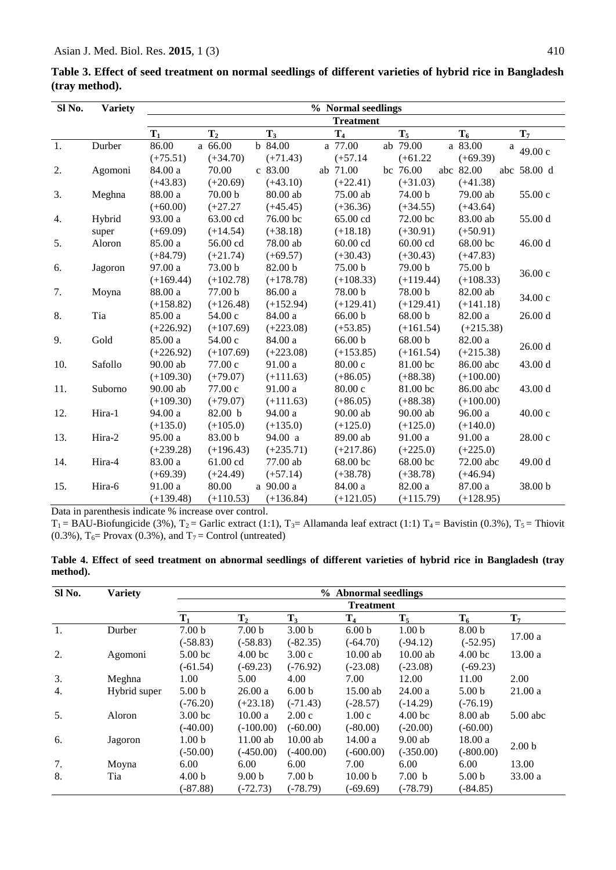| Sl No. | <b>Variety</b> | % Normal seedlings |                    |  |             |  |             |  |             |  |             |          |             |
|--------|----------------|--------------------|--------------------|--|-------------|--|-------------|--|-------------|--|-------------|----------|-------------|
|        |                | <b>Treatment</b>   |                    |  |             |  |             |  |             |  |             |          |             |
|        |                | $T_1$              | $\mathbf{T}_2$     |  | $T_3$       |  | $T_4$       |  | $T_5$       |  | $T_6$       |          | $T_7$       |
| 1.     | Durber         | 86.00              | a 66.00            |  | b 84.00     |  | a 77.00     |  | ab 79.00    |  | a 83.00     | $\rm{a}$ | 49.00 c     |
|        |                | $(+75.51)$         | $(+34.70)$         |  | $(+71.43)$  |  | $(+57.14)$  |  | $(+61.22)$  |  | $(+69.39)$  |          |             |
| 2.     | Agomoni        | 84.00 a            | 70.00              |  | c 83.00     |  | ab 71.00    |  | bc 76.00    |  | abc 82.00   |          | abc 58.00 d |
|        |                | $(+43.83)$         | $(+20.69)$         |  | $(+43.10)$  |  | $(+22.41)$  |  | $(+31.03)$  |  | $(+41.38)$  |          |             |
| 3.     | Meghna         | 88.00 a            | 70.00 <sub>b</sub> |  | 80.00 ab    |  | 75.00 ab    |  | 74.00 b     |  | 79.00 ab    |          | 55.00 c     |
|        |                | $(+60.00)$         | $(+27.27)$         |  | $(+45.45)$  |  | $(+36.36)$  |  | $(+34.55)$  |  | $(+43.64)$  |          |             |
| 4.     | Hybrid         | 93.00 a            | 63.00 cd           |  | 76.00 bc    |  | 65.00 cd    |  | 72.00 bc    |  | 83.00 ab    |          | 55.00 d     |
|        | super          | $(+69.09)$         | $(+14.54)$         |  | $(+38.18)$  |  | $(+18.18)$  |  | $(+30.91)$  |  | $(+50.91)$  |          |             |
| 5.     | Aloron         | 85.00 a            | 56.00 cd           |  | 78.00 ab    |  | $60.00$ cd  |  | 60.00 cd    |  | 68.00 bc    |          | 46.00 d     |
|        |                | $(+84.79)$         | $(+21.74)$         |  | $(+69.57)$  |  | $(+30.43)$  |  | $(+30.43)$  |  | $(+47.83)$  |          |             |
| 6.     | Jagoron        | 97.00 a            | 73.00 b            |  | 82.00 b     |  | 75.00 b     |  | 79.00 b     |  | 75.00 b     |          | 36.00 c     |
|        |                | $(+169.44)$        | $(+102.78)$        |  | $(+178.78)$ |  | $(+108.33)$ |  | $(+119.44)$ |  | $(+108.33)$ |          |             |
| 7.     | Moyna          | 88.00 a            | 77.00 b            |  | 86.00 a     |  | 78.00 b     |  | 78.00 b     |  | $82.00\;ab$ |          | 34.00 c     |
|        |                | $(+158.82)$        | $(+126.48)$        |  | $(+152.94)$ |  | $(+129.41)$ |  | $(+129.41)$ |  | $(+141.18)$ |          |             |
| 8.     | Tia            | 85.00 a            | 54.00c             |  | 84.00 a     |  | 66.00 b     |  | 68.00 b     |  | 82.00 a     |          | 26.00 d     |
|        |                | $(+226.92)$        | $(+107.69)$        |  | $(+223.08)$ |  | $(+53.85)$  |  | $(+161.54)$ |  | $(+215.38)$ |          |             |
| 9.     | Gold           | 85.00 a            | 54.00 c            |  | 84.00 a     |  | 66.00 b     |  | 68.00 b     |  | 82.00 a     |          | 26.00d      |
|        |                | $(+226.92)$        | $(+107.69)$        |  | $(+223.08)$ |  | $(+153.85)$ |  | $(+161.54)$ |  | $(+215.38)$ |          |             |
| 10.    | Safollo        | 90.00 ab           | 77.00 c            |  | 91.00 a     |  | 80.00 c     |  | 81.00 bc    |  | 86.00 abc   |          | 43.00 d     |
|        |                | $(+109.30)$        | $(+79.07)$         |  | $(+111.63)$ |  | $(+86.05)$  |  | $(+88.38)$  |  | $(+100.00)$ |          |             |
| 11.    | Suborno        | 90.00 ab           | 77.00 c            |  | 91.00 a     |  | 80.00 c     |  | 81.00 bc    |  | 86.00 abc   |          | 43.00 d     |
|        |                | $(+109.30)$        | $(+79.07)$         |  | $(+111.63)$ |  | $(+86.05)$  |  | $(+88.38)$  |  | $(+100.00)$ |          |             |
| 12.    | Hira-1         | 94.00 a            | 82.00 b            |  | 94.00 a     |  | $90.00$ ab  |  | $90.00$ ab  |  | 96.00 a     |          | 40.00 c     |
|        |                | $(+135.0)$         | $(+105.0)$         |  | $(+135.0)$  |  | $(+125.0)$  |  | $(+125.0)$  |  | $(+140.0)$  |          |             |
| 13.    | Hira-2         | 95.00 a            | 83.00 b            |  | 94.00 a     |  | 89.00 ab    |  | 91.00 a     |  | 91.00 a     |          | 28.00 c     |
|        |                | $(+239.28)$        | $(+196.43)$        |  | $(+235.71)$ |  | $(+217.86)$ |  | $(+225.0)$  |  | $(+225.0)$  |          |             |
| 14.    | Hira-4         | 83.00 a            | 61.00 cd           |  | 77.00 ab    |  | 68.00 bc    |  | 68.00 bc    |  | 72.00 abc   |          | 49.00 d     |
|        |                | $(+69.39)$         | $(+24.49)$         |  | $(+57.14)$  |  | $(+38.78)$  |  | $(+38.78)$  |  | $(+46.94)$  |          |             |
| 15.    | Hira-6         | 91.00 a            | 80.00              |  | a 90.00 a   |  | 84.00 a     |  | 82.00 a     |  | 87.00 a     |          | 38.00 b     |
|        |                | $(+139.48)$        | $(+110.53)$        |  | $(+136.84)$ |  | $(+121.05)$ |  | $(+115.79)$ |  | $(+128.95)$ |          |             |

**Table 3. Effect of seed treatment on normal seedlings of different varieties of hybrid rice in Bangladesh (tray method).**

Data in parenthesis indicate % increase over control.

 $T_1 = BAU-Biofungicide (3%), T_2 = Garlic extract (1:1), T_3 = Allamanda leaf extract (1:1) T_4 = Bavistin (0.3%), T_5 = Thiovit$ (0.3%),  $T_6$ = Provax (0.3%), and  $T_7$  = Control (untreated)

|          |  |  |  |  |  |  | Table 4. Effect of seed treatment on abnormal seedlings of different varieties of hybrid rice in Bangladesh (tray |  |
|----------|--|--|--|--|--|--|-------------------------------------------------------------------------------------------------------------------|--|
| method). |  |  |  |  |  |  |                                                                                                                   |  |

| Sl No. | <b>Variety</b> | % Abnormal seedlings |                    |                   |                    |                    |                    |                   |  |  |  |  |
|--------|----------------|----------------------|--------------------|-------------------|--------------------|--------------------|--------------------|-------------------|--|--|--|--|
|        |                |                      | <b>Treatment</b>   |                   |                    |                    |                    |                   |  |  |  |  |
|        |                | $\mathbf{T}_1$       | $T_{2}$            | $T_3$             | T <sub>4</sub>     | $T_5$              | $T_6$              | $T_7$             |  |  |  |  |
| 1.     | Durber         | 7.00 <sub>b</sub>    | 7.00 <sub>b</sub>  | 3.00 <sub>b</sub> | 6.00 <sub>b</sub>  | 1.00 <sub>b</sub>  | 8.00 <sub>b</sub>  |                   |  |  |  |  |
|        |                | $(-58.83)$           | $(-58.83)$         | $(-82.35)$        | $(-64.70)$         | $(-94.12)$         | $(-52.95)$         | 17.00a            |  |  |  |  |
| 2.     | Agomoni        | 5.00 <sub>bc</sub>   | 4.00 <sub>bc</sub> | 3.00c             | $10.00$ ab         | $10.00$ ab         | 4.00 <sub>bc</sub> | 13.00a            |  |  |  |  |
|        |                | $(-61.54)$           | $(-69.23)$         | $(-76.92)$        | $(-23.08)$         | $(-23.08)$         | $(-69.23)$         |                   |  |  |  |  |
| 3.     | Meghna         | 1.00                 | 5.00               | 4.00              | 7.00               | 12.00              | 11.00              | 2.00              |  |  |  |  |
| 4.     | Hybrid super   | 5.00 <sub>b</sub>    | 26.00a             | 6.00 <sub>b</sub> | $15.00$ ab         | 24.00a             | 5.00 <sub>b</sub>  | 21.00a            |  |  |  |  |
|        |                | $(-76.20)$           | $(+23.18)$         | $(-71.43)$        | $(-28.57)$         | $(-14.29)$         | $(-76.19)$         |                   |  |  |  |  |
| 5.     | Aloron         | 3.00 <sub>bc</sub>   | 10.00a             | 2.00c             | 1.00c              | 4.00 <sub>bc</sub> | 8.00 ab            | $5.00$ abc        |  |  |  |  |
|        |                | $(-40.00)$           | $(-100.00)$        | $(-60.00)$        | $(-80.00)$         | $(-20.00)$         | $(-60.00)$         |                   |  |  |  |  |
| 6.     | Jagoron        | 1.00 <sub>b</sub>    | $11.00$ ab         | $10.00$ ab        | 14.00a             | $9.00$ ab          | 18.00a             |                   |  |  |  |  |
|        |                | $(-50.00)$           | $(-450.00)$        | $(-400.00)$       | $(-600.00)$        | $(-350.00)$        | $(-800.00)$        | 2.00 <sub>b</sub> |  |  |  |  |
| 7.     | Moyna          | 6.00                 | 6.00               | 6.00              | 7.00               | 6.00               | 6.00               | 13.00             |  |  |  |  |
| 8.     | Tia            | 4.00 <sub>b</sub>    | 9.00 <sub>b</sub>  | 7.00 <sub>b</sub> | 10.00 <sub>b</sub> | 7.00 <sub>b</sub>  | 5.00 <sub>b</sub>  | 33.00a            |  |  |  |  |
|        |                | $(-87.88)$           | $(-72.73)$         | $(-78.79)$        | $(-69.69)$         | $(-78.79)$         | $(-84.85)$         |                   |  |  |  |  |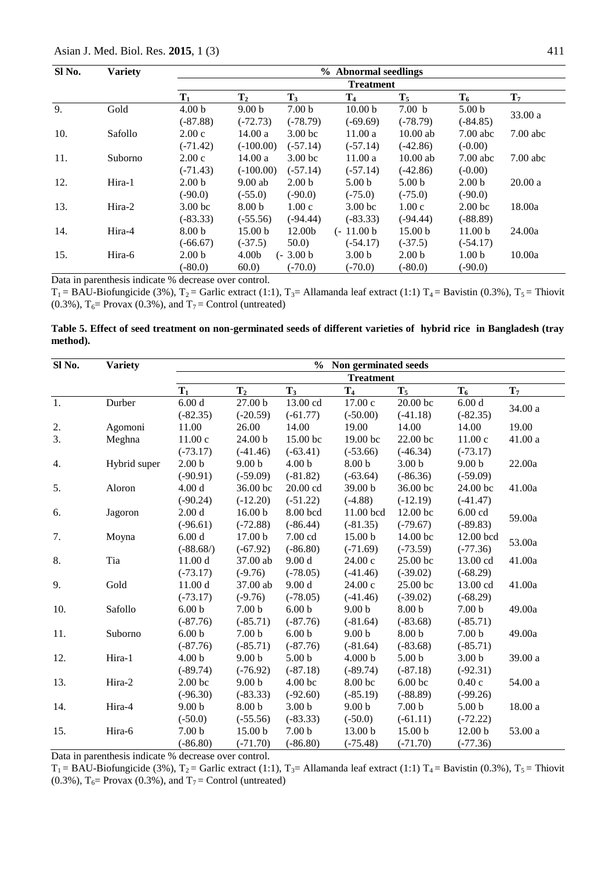| SI No. | <b>Variety</b> |                    | % Abnormal seedlings |                    |                    |                    |                    |            |  |  |  |  |  |
|--------|----------------|--------------------|----------------------|--------------------|--------------------|--------------------|--------------------|------------|--|--|--|--|--|
|        |                |                    | <b>Treatment</b>     |                    |                    |                    |                    |            |  |  |  |  |  |
|        |                | $T_1$              | $\mathbf{T}_2$       | $T_3$              | $\mathbf{T}_4$     | $T_5$              | $T_6$              | $T_7$      |  |  |  |  |  |
| 9.     | Gold           | 4.00 <sub>b</sub>  | 9.00 <sub>b</sub>    | 7.00 <sub>b</sub>  | 10.00 <sub>b</sub> | 7.00 <sub>b</sub>  | 5.00 <sub>b</sub>  |            |  |  |  |  |  |
|        |                | $(-87.88)$         | $(-72.73)$           | $(-78.79)$         | $(-69.69)$         | $(-78.79)$         | $(-84.85)$         | 33.00 a    |  |  |  |  |  |
| 10.    | Safollo        | 2.00c              | 14.00a               | 3.00 <sub>bc</sub> | 11.00a             | $10.00$ ab         | $7.00$ abc         | $7.00$ abc |  |  |  |  |  |
|        |                | $(-71.42)$         | $(-100.00)$          | $(-57.14)$         | $(-57.14)$         | $(-42.86)$         | $(-0.00)$          |            |  |  |  |  |  |
| 11.    | Suborno        | 2.00c              | 14.00a               | 3.00 <sub>bc</sub> | 11.00a             | $10.00$ ab         | $7.00$ abc         | $7.00$ abc |  |  |  |  |  |
|        |                | $(-71.43)$         | $(-100.00)$          | $(-57.14)$         | $(-57.14)$         | $(-42.86)$         | $(-0.00)$          |            |  |  |  |  |  |
| 12.    | Hira-1         | 2.00 <sub>b</sub>  | $9.00$ ab            | 2.00 <sub>b</sub>  | 5.00 <sub>b</sub>  | 5.00 <sub>b</sub>  | 2.00 <sub>b</sub>  | 20.00a     |  |  |  |  |  |
|        |                | $(-90.0)$          | $(-55.0)$            | $(-90.0)$          | $(-75.0)$          | $(-75.0)$          | $(-90.0)$          |            |  |  |  |  |  |
| 13.    | Hira-2         | 3.00 <sub>bc</sub> | 8.00 <sub>b</sub>    | 1.00c              | 3.00 <sub>bc</sub> | 1.00c              | 2.00 <sub>bc</sub> | 18.00a     |  |  |  |  |  |
|        |                | $(-83.33)$         | $(-55.56)$           | $(-94.44)$         | $(-83.33)$         | $(-94.44)$         | $(-88.89)$         |            |  |  |  |  |  |
| 14.    | Hira-4         | 8.00 <sub>b</sub>  | 15.00 <sub>b</sub>   | 12.00b             | $(-11.00 b)$       | 15.00 <sub>b</sub> | 11.00 <sub>b</sub> | 24.00a     |  |  |  |  |  |
|        |                | $(-66.67)$         | $(-37.5)$            | 50.0               | $(-54.17)$         | $(-37.5)$          | $(-54.17)$         |            |  |  |  |  |  |
| 15.    | Hira-6         | 2.00 <sub>b</sub>  | 4.00 <sub>b</sub>    | $(-3.00 b)$        | 3.00 <sub>b</sub>  | 2.00 <sub>b</sub>  | 1.00 <sub>b</sub>  | 10.00a     |  |  |  |  |  |
|        |                | (.80.0)            | 60.0                 | $(-70.0)$          | $(-70.0)$          | $(-80.0)$          | $(-90.0)$          |            |  |  |  |  |  |

Data in parenthesis indicate % decrease over control.

 $T_1 = BAU-Biofungicide (3%), T_2 = Garlic extract (1:1), T_3 = Allamanda leaf extract (1:1) T_4 = Bavistin (0.3%), T_5 = Thiovit$ (0.3%),  $T_6$ = Provax (0.3%), and  $T_7$  = Control (untreated)

#### **Table 5. Effect of seed treatment on non-germinated seeds of different varieties of hybrid rice in Bangladesh (tray method).**

| Sl No. | <b>Variety</b> | $\frac{0}{0}$<br>Non germinated seeds |                    |                    |                    |                    |                    |         |  |  |  |  |
|--------|----------------|---------------------------------------|--------------------|--------------------|--------------------|--------------------|--------------------|---------|--|--|--|--|
|        |                |                                       |                    |                    | <b>Treatment</b>   |                    |                    |         |  |  |  |  |
|        |                | $T_1$                                 | $T_{2}$            | $T_3$              | T <sub>4</sub>     | $T_5$              | $T_6$              | $T_7$   |  |  |  |  |
| 1.     | Durber         | 6.00 d                                | 27.00 b            | 13.00 cd           | 17.00 c            | 20.00 bc           | 6.00d              |         |  |  |  |  |
|        |                | $(-82.35)$                            | $(-20.59)$         | $(-61.77)$         | $(-50.00)$         | $(-41.18)$         | $(-82.35)$         | 34.00 a |  |  |  |  |
| 2.     | Agomoni        | 11.00                                 | 26.00              | 14.00              | 19.00              | 14.00              | 14.00              | 19.00   |  |  |  |  |
| 3.     | Meghna         | 11.00c                                | 24.00 b            | 15.00 bc           | 19.00 bc           | 22.00 bc           | 11.00c             | 41.00 a |  |  |  |  |
|        |                | $(-73.17)$                            | $(-41.46)$         | $(-63.41)$         | $(-53.66)$         | $(-46.34)$         | $(-73.17)$         |         |  |  |  |  |
| 4.     | Hybrid super   | 2.00 <sub>b</sub>                     | 9.00 <sub>b</sub>  | 4.00 <sub>b</sub>  | 8.00 <sub>b</sub>  | 3.00 <sub>b</sub>  | 9.00 <sub>b</sub>  | 22.00a  |  |  |  |  |
|        |                | $(-90.91)$                            | $(-59.09)$         | $(-81.82)$         | $(-63.64)$         | $(-86.36)$         | $(-59.09)$         |         |  |  |  |  |
| 5.     | Aloron         | 4.00 d                                | 36.00 bc           | 20.00 cd           | 39.00 b            | 36.00 bc           | 24.00 bc           | 41.00a  |  |  |  |  |
|        |                | $(-90.24)$                            | $(-12.20)$         | $(-51.22)$         | $(-4.88)$          | $(-12.19)$         | $(-41.47)$         |         |  |  |  |  |
| 6.     | Jagoron        | 2.00 d                                | 16.00 <sub>b</sub> | 8.00 bcd           | 11.00 bcd          | 12.00 bc           | $6.00$ cd          |         |  |  |  |  |
|        |                | $(-96.61)$                            | $(-72.88)$         | $(-86.44)$         | $(-81.35)$         | $(-79.67)$         | $(-89.83)$         | 59.00a  |  |  |  |  |
| 7.     | Moyna          | 6.00d                                 | 17.00 <sub>b</sub> | $7.00 \text{ cd}$  | 15.00 <sub>b</sub> | 14.00 bc           | 12.00 bcd          |         |  |  |  |  |
|        |                | $(-88.68/)$                           | $(-67.92)$         | $(-86.80)$         | $(-71.69)$         | $(-73.59)$         | $(-77.36)$         | 53.00a  |  |  |  |  |
| 8.     | Tia            | 11.00 d                               | 37.00 ab           | 9.00 d             | 24.00 с            | 25.00 bc           | 13.00 cd           | 41.00a  |  |  |  |  |
|        |                | $(-73.17)$                            | $(-9.76)$          | $(-78.05)$         | $(-41.46)$         | $(-39.02)$         | $(-68.29)$         |         |  |  |  |  |
| 9.     | Gold           | 11.00 d                               | 37.00 ab           | 9.00 d             | 24.00 c            | 25.00 bc           | 13.00 cd           | 41.00a  |  |  |  |  |
|        |                | $(-73.17)$                            | $(-9.76)$          | $(-78.05)$         | $(-41.46)$         | $(-39.02)$         | $(-68.29)$         |         |  |  |  |  |
| 10.    | Safollo        | 6.00 <sub>b</sub>                     | 7.00 <sub>b</sub>  | 6.00 <sub>b</sub>  | 9.00 <sub>b</sub>  | 8.00 <sub>b</sub>  | 7.00 <sub>b</sub>  | 49.00a  |  |  |  |  |
|        |                | $(-87.76)$                            | $(-85.71)$         | $(-87.76)$         | $(-81.64)$         | $(-83.68)$         | $(-85.71)$         |         |  |  |  |  |
| 11.    | Suborno        | 6.00 <sub>b</sub>                     | 7.00 <sub>b</sub>  | 6.00 <sub>b</sub>  | 9.00 <sub>b</sub>  | 8.00 <sub>b</sub>  | 7.00 <sub>b</sub>  | 49.00a  |  |  |  |  |
|        |                | $(-87.76)$                            | $(-85.71)$         | $(-87.76)$         | $(-81.64)$         | $(-83.68)$         | $(-85.71)$         |         |  |  |  |  |
| 12.    | Hira-1         | 4.00 <sub>b</sub>                     | 9.00 <sub>b</sub>  | 5.00 <sub>b</sub>  | 4.000 <sub>b</sub> | 5.00 <sub>b</sub>  | 3.00 <sub>b</sub>  | 39.00 a |  |  |  |  |
|        |                | $(-89.74)$                            | $(-76.92)$         | $(-87.18)$         | $(-89.74)$         | $(-87.18)$         | $(-92.31)$         |         |  |  |  |  |
| 13.    | Hira-2         | 2.00 <sub>bc</sub>                    | 9.00 <sub>b</sub>  | 4.00 <sub>bc</sub> | 8.00 bc            | 6.00 <sub>bc</sub> | 0.40c              | 54.00 a |  |  |  |  |
|        |                | $(-96.30)$                            | $(-83.33)$         | $(-92.60)$         | $(-85.19)$         | $(-88.89)$         | $(-99.26)$         |         |  |  |  |  |
| 14.    | Hira-4         | 9.00 <sub>b</sub>                     | 8.00 <sub>b</sub>  | 3.00 <sub>b</sub>  | 9.00 <sub>b</sub>  | 7.00 <sub>b</sub>  | 5.00 <sub>b</sub>  | 18.00 a |  |  |  |  |
|        |                | $(-50.0)$                             | $(-55.56)$         | $(-83.33)$         | $(-50.0)$          | $(-61.11)$         | $(-72.22)$         |         |  |  |  |  |
| 15.    | Hira-6         | 7.00 <sub>b</sub>                     | 15.00 <sub>b</sub> | 7.00 <sub>b</sub>  | 13.00 <sub>b</sub> | 15.00 <sub>b</sub> | 12.00 <sub>b</sub> | 53.00 a |  |  |  |  |
|        |                | $(-86.80)$                            | $(-71.70)$         | $(-86.80)$         | $(-75.48)$         | $(-71.70)$         | $(-77.36)$         |         |  |  |  |  |

Data in parenthesis indicate % decrease over control.

 $T_1 = BAU-Biofungicide (3%), T_2 = Garlic extract (1:1), T_3 = Allamanda leaf extract (1:1) T_4 = Bavistin (0.3%), T_5 = Thiovit$ (0.3%),  $T_6$ = Provax (0.3%), and  $T_7$  = Control (untreated)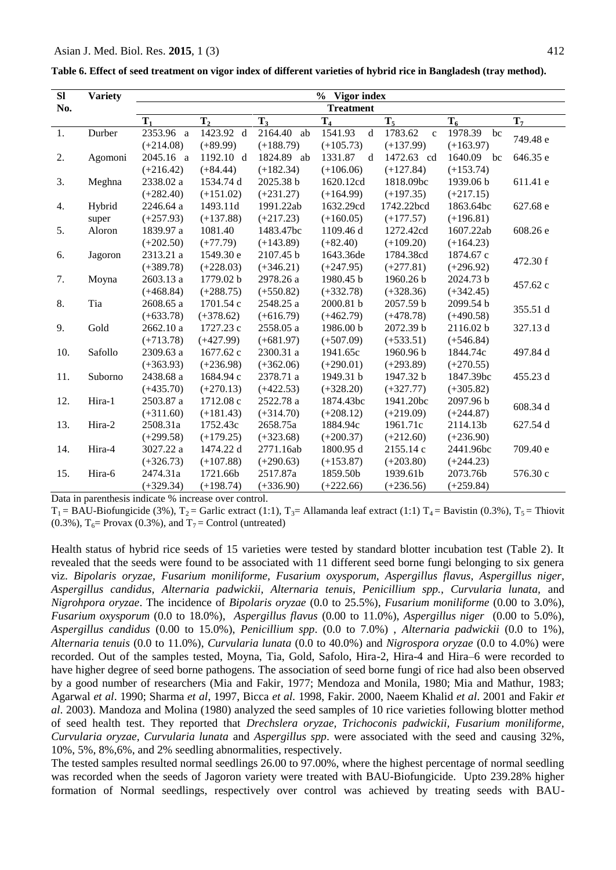| Table 6. Effect of seed treatment on vigor index of different varieties of hybrid rice in Bangladesh (tray method). |  |  |
|---------------------------------------------------------------------------------------------------------------------|--|--|
|                                                                                                                     |  |  |

| SI  | <b>Variety</b> | $\frac{6}{10}$<br>Vigor index |                |             |                        |                         |               |          |  |  |  |  |
|-----|----------------|-------------------------------|----------------|-------------|------------------------|-------------------------|---------------|----------|--|--|--|--|
| No. |                | <b>Treatment</b>              |                |             |                        |                         |               |          |  |  |  |  |
|     |                | T <sub>1</sub>                | T <sub>2</sub> | $T_3$       | T <sub>4</sub>         | $T_5$                   | $T_6$         | $T_7$    |  |  |  |  |
| 1.  | Durber         | 2353.96 a                     | 1423.92 d      | 2164.40 ab  | $\mathbf d$<br>1541.93 | 1783.62<br>$\mathbf{c}$ | 1978.39<br>bc |          |  |  |  |  |
|     |                | $(+214.08)$                   | $(+89.99)$     | $(+188.79)$ | $(+105.73)$            | $(+137.99)$             | $(+163.97)$   | 749.48 e |  |  |  |  |
| 2.  | Agomoni        | 2045.16 a                     | 1192.10 d      | 1824.89 ab  | 1331.87<br>d           | 1472.63 cd              | 1640.09 bc    | 646.35 e |  |  |  |  |
|     |                | $(+216.42)$                   | $(+84.44)$     | $(+182.34)$ | $(+106.06)$            | $(+127.84)$             | $(+153.74)$   |          |  |  |  |  |
| 3.  | Meghna         | 2338.02 a                     | 1534.74 d      | 2025.38 b   | 1620.12cd              | 1818.09bc               | 1939.06 b     | 611.41 e |  |  |  |  |
|     |                | $(+282.40)$                   | $(+151.02)$    | $(+231.27)$ | $(+164.99)$            | $(+197.35)$             | $(+217.15)$   |          |  |  |  |  |
| 4.  | Hybrid         | 2246.64 a                     | 1493.11d       | 1991.22ab   | 1632.29cd              | 1742.22bcd              | 1863.64bc     | 627.68 e |  |  |  |  |
|     | super          | $(+257.93)$                   | $(+137.88)$    | $(+217.23)$ | $(+160.05)$            | $(+177.57)$             | $(+196.81)$   |          |  |  |  |  |
| 5.  | Aloron         | 1839.97 a                     | 1081.40        | 1483.47bc   | 1109.46 d              | 1272.42cd               | 1607.22ab     | 608.26 e |  |  |  |  |
|     |                | $(+202.50)$                   | $(+77.79)$     | $(+143.89)$ | $(+82.40)$             | $(+109.20)$             | $(+164.23)$   |          |  |  |  |  |
| 6.  | Jagoron        | 2313.21 a                     | 1549.30 e      | 2107.45 b   | 1643.36de              | 1784.38cd               | 1874.67 c     | 472.30 f |  |  |  |  |
|     |                | $(+389.78)$                   | $(+228.03)$    | $(+346.21)$ | $(+247.95)$            | $(+277.81)$             | $(+296.92)$   |          |  |  |  |  |
| 7.  | Moyna          | 2603.13 a                     | 1779.02 b      | 2978.26 a   | 1980.45 b              | 1960.26 b               | 2024.73 b     | 457.62 c |  |  |  |  |
|     |                | $(+468.84)$                   | $(+288.75)$    | $(+550.82)$ | $(+332.78)$            | $(+328.36)$             | $(+342.45)$   |          |  |  |  |  |
| 8.  | Tia            | 2608.65 a                     | 1701.54 c      | 2548.25 a   | 2000.81 b              | 2057.59 b               | 2099.54 b     | 355.51 d |  |  |  |  |
|     |                | $(+633.78)$                   | $(+378.62)$    | $(+616.79)$ | $(+462.79)$            | $(+478.78)$             | $(+490.58)$   |          |  |  |  |  |
| 9.  | Gold           | 2662.10 a                     | 1727.23 c      | 2558.05 a   | 1986.00 b              | 2072.39 b               | 2116.02 b     | 327.13 d |  |  |  |  |
|     |                | $(+713.78)$                   | $(+427.99)$    | $(+681.97)$ | $(+507.09)$            | $(+533.51)$             | $(+546.84)$   |          |  |  |  |  |
| 10. | Safollo        | 2309.63 a                     | 1677.62 c      | 2300.31 a   | 1941.65c               | 1960.96 b               | 1844.74c      | 497.84 d |  |  |  |  |
|     |                | $(+363.93)$                   | $(+236.98)$    | $(+362.06)$ | $(+290.01)$            | $(+293.89)$             | $(+270.55)$   |          |  |  |  |  |
| 11. | Suborno        | 2438.68 a                     | 1684.94 c      | 2378.71 a   | 1949.31 b              | 1947.32 b               | 1847.39bc     | 455.23 d |  |  |  |  |
|     |                | $(+435.70)$                   | $(+270.13)$    | $(+422.53)$ | $(+328.20)$            | $(+327.77)$             | $(+305.82)$   |          |  |  |  |  |
| 12. | Hira-1         | 2503.87 a                     | 1712.08 c      | 2522.78 a   | 1874.43bc              | 1941.20bc               | 2097.96 b     | 608.34 d |  |  |  |  |
|     |                | $(+311.60)$                   | $(+181.43)$    | $(+314.70)$ | $(+208.12)$            | $(+219.09)$             | $(+244.87)$   |          |  |  |  |  |
| 13. | Hira-2         | 2508.31a                      | 1752.43c       | 2658.75a    | 1884.94c               | 1961.71c                | 2114.13b      | 627.54 d |  |  |  |  |
|     |                | $(+299.58)$                   | $(+179.25)$    | $(+323.68)$ | $(+200.37)$            | $(+212.60)$             | $(+236.90)$   |          |  |  |  |  |
| 14. | Hira-4         | 3027.22 a                     | 1474.22 d      | 2771.16ab   | 1800.95 d              | 2155.14 c               | 2441.96bc     | 709.40 e |  |  |  |  |
|     |                | $(+326.73)$                   | $(+107.88)$    | $(+290.63)$ | $(+153.87)$            | $(+203.80)$             | $(+244.23)$   |          |  |  |  |  |
| 15. | Hira-6         | 2474.31a                      | 1721.66b       | 2517.87a    | 1859.50b               | 1939.61b                | 2073.76b      | 576.30 c |  |  |  |  |
|     |                | $(+329.34)$                   | $(+198.74)$    | $(+336.90)$ | $(+222.66)$            | $(+236.56)$             | $(+259.84)$   |          |  |  |  |  |

Data in parenthesis indicate % increase over control.

 $T_1 = BAU-Biofungicide (3%), T_2 = Garlic extract (1:1), T_3 = Allamanda leaf extract (1:1) T_4 = Bavistin (0.3%), T_5 = Thiovit$ (0.3%),  $T_6$ = Provax (0.3%), and  $T_7$  = Control (untreated)

Health status of hybrid rice seeds of 15 varieties were tested by standard blotter incubation test (Table 2). It revealed that the seeds were found to be associated with 11 different seed borne fungi belonging to six genera viz. *Bipolaris oryzae, Fusarium moniliforme, Fusarium oxysporum, Aspergillus flavus, Aspergillus niger, Aspergillus candidus, Alternaria padwickii, Alternaria tenuis, Penicillium spp., Curvularia lunata,* and *Nigrohpora oryzae*. The incidence of *Bipolaris oryzae* (0.0 to 25.5%), *Fusarium moniliforme* (0.00 to 3.0%), *Fusarium oxysporum* (0.0 to 18.0%), *Aspergillus flavus* (0.00 to 11.0%), *Aspergillus niger* (0.00 to 5.0%), *Aspergillus candidus* (0.00 to 15.0%), *Penicillium spp*. (0.0 to 7.0%) , *Alternaria padwickii* (0.0 to 1%), *Alternaria tenuis* (0.0 to 11.0%), *Curvularia lunata* (0.0 to 40.0%) and *Nigrospora oryzae* (0.0 to 4.0%) were recorded. Out of the samples tested, Moyna, Tia, Gold, Safolo, Hira-2, Hira-4 and Hira–6 were recorded to have higher degree of seed borne pathogens. The association of seed borne fungi of rice had also been observed by a good number of researchers (Mia and Fakir, 1977; Mendoza and Monila, 1980; Mia and Mathur, 1983; Agarwal *et al*. 1990; Sharma *et al*, 1997, Bicca *et al.* 1998, Fakir. 2000, Naeem Khalid *et al*. 2001 and Fakir *et al*. 2003). Mandoza and Molina (1980) analyzed the seed samples of 10 rice varieties following blotter method of seed health test. They reported that *Drechslera oryzae, Trichoconis padwickii, Fusarium moniliforme, Curvularia oryzae, Curvularia lunata* and *Aspergillus spp*. were associated with the seed and causing 32%, 10%, 5%, 8%,6%, and 2% seedling abnormalities, respectively.

The tested samples resulted normal seedlings 26.00 to 97.00%, where the highest percentage of normal seedling was recorded when the seeds of Jagoron variety were treated with BAU-Biofungicide. Upto 239.28% higher formation of Normal seedlings, respectively over control was achieved by treating seeds with BAU-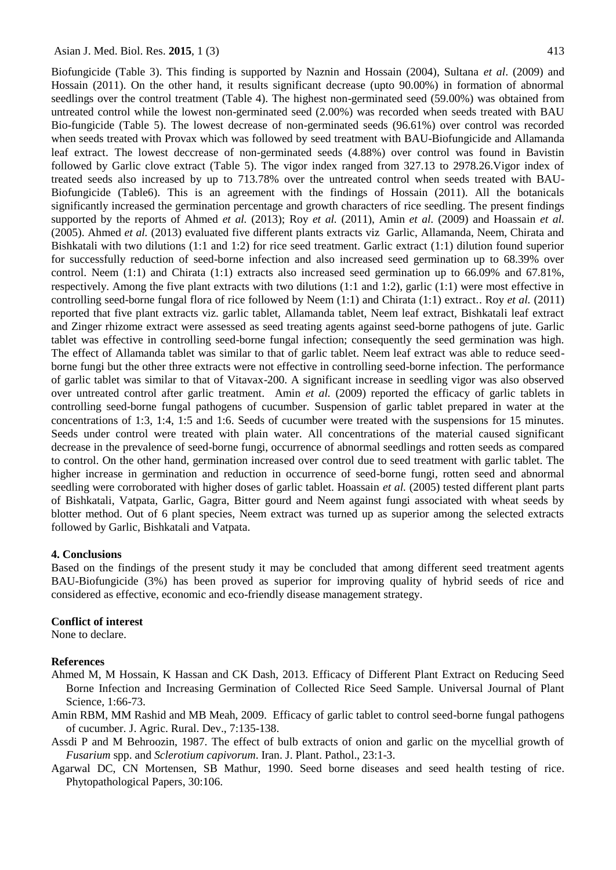Biofungicide (Table 3). This finding is supported by Naznin and Hossain (2004), Sultana *et al*. (2009) and Hossain (2011). On the other hand, it results significant decrease (upto 90.00%) in formation of abnormal seedlings over the control treatment (Table 4). The highest non-germinated seed (59.00%) was obtained from untreated control while the lowest non-germinated seed (2.00%) was recorded when seeds treated with BAU Bio-fungicide (Table 5). The lowest decrease of non-germinated seeds (96.61%) over control was recorded when seeds treated with Provax which was followed by seed treatment with BAU-Biofungicide and Allamanda leaf extract. The lowest deccrease of non-germinated seeds (4.88%) over control was found in Bavistin followed by Garlic clove extract (Table 5). The vigor index ranged from 327.13 to 2978.26.Vigor index of treated seeds also increased by up to 713.78% over the untreated control when seeds treated with BAU-Biofungicide (Table6). This is an agreement with the findings of Hossain (2011). All the botanicals significantly increased the germination percentage and growth characters of rice seedling. The present findings supported by the reports of Ahmed *et al.* (2013); Roy *et al.* (2011), Amin *et al.* (2009) and Hoassain *et al.* (2005). Ahmed *et al.* (2013) evaluated five different plants extracts viz Garlic, Allamanda, Neem, Chirata and Bishkatali with two dilutions (1:1 and 1:2) for rice seed treatment. Garlic extract (1:1) dilution found superior for successfully reduction of seed-borne infection and also increased seed germination up to 68.39% over control. Neem (1:1) and Chirata (1:1) extracts also increased seed germination up to 66.09% and 67.81%, respectively. Among the five plant extracts with two dilutions (1:1 and 1:2), garlic (1:1) were most effective in controlling seed-borne fungal flora of rice followed by Neem (1:1) and Chirata (1:1) extract.. Roy *et al.* (2011) reported that five plant extracts viz. garlic tablet, Allamanda tablet, Neem leaf extract, Bishkatali leaf extract and Zinger rhizome extract were assessed as seed treating agents against seed-borne pathogens of jute. Garlic tablet was effective in controlling seed-borne fungal infection; consequently the seed germination was high. The effect of Allamanda tablet was similar to that of garlic tablet. Neem leaf extract was able to reduce seedborne fungi but the other three extracts were not effective in controlling seed-borne infection. The performance of garlic tablet was similar to that of Vitavax-200. A significant increase in seedling vigor was also observed over untreated control after garlic treatment. Amin *et al.* (2009) reported the efficacy of garlic tablets in controlling seed-borne fungal pathogens of cucumber. Suspension of garlic tablet prepared in water at the concentrations of 1:3, 1:4, 1:5 and 1:6. Seeds of cucumber were treated with the suspensions for 15 minutes. Seeds under control were treated with plain water. All concentrations of the material caused significant decrease in the prevalence of seed-borne fungi, occurrence of abnormal seedlings and rotten seeds as compared to control. On the other hand, germination increased over control due to seed treatment with garlic tablet. The higher increase in germination and reduction in occurrence of seed-borne fungi, rotten seed and abnormal seedling were corroborated with higher doses of garlic tablet. Hoassain *et al.* (2005) tested different plant parts of Bishkatali, Vatpata, Garlic, Gagra, Bitter gourd and Neem against fungi associated with wheat seeds by blotter method. Out of 6 plant species, Neem extract was turned up as superior among the selected extracts followed by Garlic, Bishkatali and Vatpata.

#### **4. Conclusions**

Based on the findings of the present study it may be concluded that among different seed treatment agents BAU-Biofungicide (3%) has been proved as superior for improving quality of hybrid seeds of rice and considered as effective, economic and eco-friendly disease management strategy.

#### **Conflict of interest**

None to declare.

#### **References**

- Ahmed M, M Hossain, K Hassan and CK Dash, 2013. Efficacy of Different Plant Extract on Reducing Seed Borne Infection and Increasing Germination of Collected Rice Seed Sample. Universal Journal of Plant Science, 1:66-73.
- Amin RBM, MM Rashid and MB Meah, 2009. Efficacy of garlic tablet to control seed-borne fungal pathogens of cucumber. J. Agric. Rural. Dev., 7:135-138.
- Assdi P and M Behroozin, 1987. The effect of bulb extracts of onion and garlic on the mycellial growth of *Fusarium* spp. and *Sclerotium capivorum*. Iran. J. Plant. Pathol., 23:1-3.
- Agarwal DC, CN Mortensen, SB Mathur, 1990. Seed borne diseases and seed health testing of rice. Phytopathological Papers, 30:106.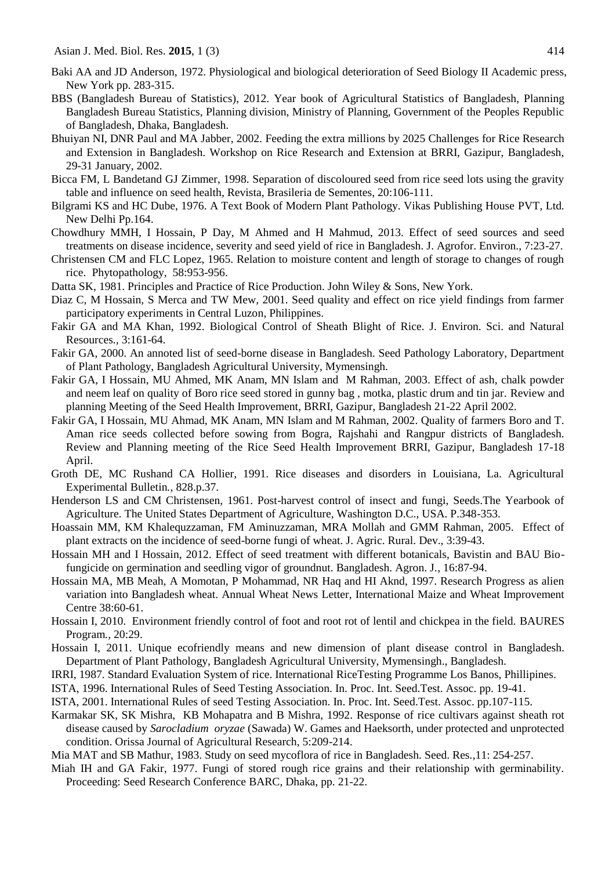- Baki AA and JD Anderson, 1972. Physiological and biological deterioration of Seed Biology II Academic press, New York pp. 283-315.
- BBS (Bangladesh Bureau of Statistics), 2012. Year book of Agricultural Statistics of Bangladesh, Planning Bangladesh Bureau Statistics, Planning division, Ministry of Planning, Government of the Peoples Republic of Bangladesh, Dhaka, Bangladesh.
- Bhuiyan NI, DNR Paul and MA Jabber, 2002. Feeding the extra millions by 2025 Challenges for Rice Research and Extension in Bangladesh. Workshop on Rice Research and Extension at BRRI, Gazipur, Bangladesh, 29-31 January, 2002.
- Bicca FM, L Bandetand GJ Zimmer, 1998. Separation of discoloured seed from rice seed lots using the gravity table and influence on seed health, Revista, Brasileria de Sementes, 20:106-111.
- Bilgrami KS and HC Dube, 1976. A Text Book of Modern Plant Pathology. Vikas Publishing House PVT, Ltd*.*  New Delhi Pp.164.
- Chowdhury MMH, I Hossain, P Day, M Ahmed and H Mahmud, 2013. Effect of seed sources and seed treatments on disease incidence, severity and seed yield of rice in Bangladesh. J. Agrofor. Environ., 7:23-27.
- Christensen CM and FLC Lopez, 1965. Relation to moisture content and length of storage to changes of rough rice. Phytopathology, 58:953-956.
- Datta SK, 1981. Principles and Practice of Rice Production. John Wiley & Sons, New York.
- Diaz C, M Hossain, S Merca and TW Mew, 2001. Seed quality and effect on rice yield findings from farmer participatory experiments in Central Luzon, Philippines.
- Fakir GA and MA Khan, 1992. Biological Control of Sheath Blight of Rice. J. Environ. Sci. and Natural Resources*.,* 3:161-64.
- Fakir GA, 2000. An annoted list of seed-borne disease in Bangladesh. Seed Pathology Laboratory, Department of Plant Pathology, Bangladesh Agricultural University, Mymensingh.
- Fakir GA, I Hossain, MU Ahmed, MK Anam, MN Islam and M Rahman, 2003. Effect of ash, chalk powder and neem leaf on quality of Boro rice seed stored in gunny bag , motka, plastic drum and tin jar. Review and planning Meeting of the Seed Health Improvement, BRRI, Gazipur, Bangladesh 21-22 April 2002.
- Fakir GA, I Hossain, MU Ahmad, MK Anam, MN Islam and M Rahman, 2002. Quality of farmers Boro and T. Aman rice seeds collected before sowing from Bogra, Rajshahi and Rangpur districts of Bangladesh. Review and Planning meeting of the Rice Seed Health Improvement BRRI, Gazipur, Bangladesh 17-18 April.
- Groth DE, MC Rushand CA Hollier, 1991. Rice diseases and disorders in Louisiana, La. Agricultural Experimental Bulletin*.,* 828.p.37.
- Henderson LS and CM Christensen, 1961. Post-harvest control of insect and fungi, Seeds.The Yearbook of Agriculture. The United States Department of Agriculture, Washington D.C., USA. P.348-353.
- Hoassain MM, KM Khalequzzaman, FM Aminuzzaman, MRA Mollah and GMM Rahman, 2005. Effect of plant extracts on the incidence of seed-borne fungi of wheat. J. Agric. Rural. Dev., 3:39-43.
- Hossain MH and I Hossain, 2012. Effect of seed treatment with different botanicals, Bavistin and BAU Biofungicide on germination and seedling vigor of groundnut. Bangladesh. Agron. J*.,* 16:87-94.
- Hossain MA, MB Meah, A Momotan, P Mohammad, NR Haq and HI Aknd, 1997. Research Progress as alien variation into Bangladesh wheat. Annual Wheat News Letter, International Maize and Wheat Improvement Centre 38:60-61.
- Hossain I, 2010. Environment friendly control of foot and root rot of lentil and chickpea in the field. BAURES Program*.,* 20:29.
- Hossain I, 2011. Unique ecofriendly means and new dimension of plant disease control in Bangladesh. Department of Plant Pathology, Bangladesh Agricultural University, Mymensingh., Bangladesh.
- IRRI, 1987. Standard Evaluation System of rice. International RiceTesting Programme Los Banos, Phillipines.
- ISTA, 1996. International Rules of Seed Testing Association. In. Proc. Int. Seed.Test. Assoc. pp. 19-41.
- ISTA, 2001. International Rules of seed Testing Association. In. Proc. Int. Seed.Test. Assoc. pp.107-115.
- Karmakar SK, SK Mishra, KB Mohapatra and B Mishra, 1992. Response of rice cultivars against sheath rot disease caused by *Sarocladium oryzae* (Sawada) W. Games and Haeksorth, under protected and unprotected condition. Orissa Journal of Agricultural Research, 5:209-214.
- Mia MAT and SB Mathur, 1983. Study on seed mycoflora of rice in Bangladesh. Seed. Res*.,*11: 254-257.
- Miah IH and GA Fakir, 1977. Fungi of stored rough rice grains and their relationship with germinability. Proceeding: Seed Research Conference BARC, Dhaka, pp. 21-22.